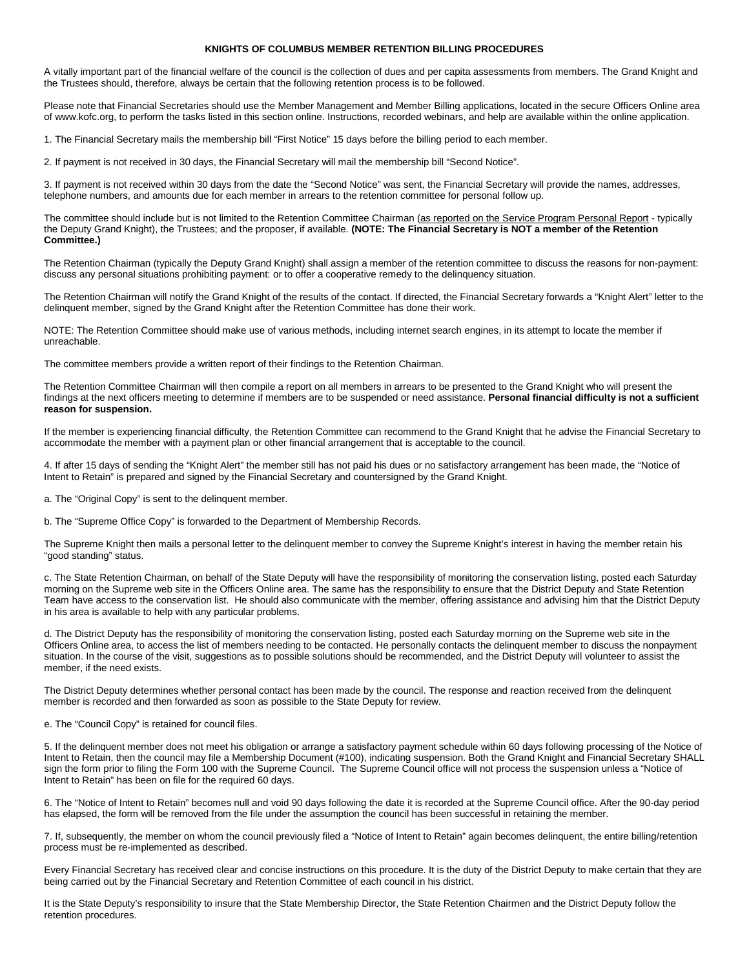## **KNIGHTS OF COLUMBUS MEMBER RETENTION BILLING PROCEDURES**

A vitally important part of the financial welfare of the council is the collection of dues and per capita assessments from members. The Grand Knight and the Trustees should, therefore, always be certain that the following retention process is to be followed.

Please note that Financial Secretaries should use the Member Management and Member Billing applications, located in the secure Officers Online area of www.kofc.org, to perform the tasks listed in this section online. Instructions, recorded webinars, and help are available within the online application.

1. The Financial Secretary mails the membership bill "First Notice" 15 days before the billing period to each member.

2. If payment is not received in 30 days, the Financial Secretary will mail the membership bill "Second Notice".

3. If payment is not received within 30 days from the date the "Second Notice" was sent, the Financial Secretary will provide the names, addresses, telephone numbers, and amounts due for each member in arrears to the retention committee for personal follow up.

The committee should include but is not limited to the Retention Committee Chairman (as reported on the Service Program Personal Report - typically the Deputy Grand Knight), the Trustees; and the proposer, if available. **(NOTE: The Financial Secretary is NOT a member of the Retention Committee.)**

The Retention Chairman (typically the Deputy Grand Knight) shall assign a member of the retention committee to discuss the reasons for non-payment: discuss any personal situations prohibiting payment: or to offer a cooperative remedy to the delinquency situation.

The Retention Chairman will notify the Grand Knight of the results of the contact. If directed, the Financial Secretary forwards a "Knight Alert" letter to the delinquent member, signed by the Grand Knight after the Retention Committee has done their work.

NOTE: The Retention Committee should make use of various methods, including internet search engines, in its attempt to locate the member if unreachable.

The committee members provide a written report of their findings to the Retention Chairman.

The Retention Committee Chairman will then compile a report on all members in arrears to be presented to the Grand Knight who will present the findings at the next officers meeting to determine if members are to be suspended or need assistance. **Personal financial difficulty is not a sufficient reason for suspension.**

If the member is experiencing financial difficulty, the Retention Committee can recommend to the Grand Knight that he advise the Financial Secretary to accommodate the member with a payment plan or other financial arrangement that is acceptable to the council.

4. If after 15 days of sending the "Knight Alert" the member still has not paid his dues or no satisfactory arrangement has been made, the "Notice of Intent to Retain" is prepared and signed by the Financial Secretary and countersigned by the Grand Knight.

a. The "Original Copy" is sent to the delinquent member.

b. The "Supreme Office Copy" is forwarded to the Department of Membership Records.

The Supreme Knight then mails a personal letter to the delinquent member to convey the Supreme Knight's interest in having the member retain his "good standing" status.

c. The State Retention Chairman, on behalf of the State Deputy will have the responsibility of monitoring the conservation listing, posted each Saturday morning on the Supreme web site in the Officers Online area. The same has the responsibility to ensure that the District Deputy and State Retention Team have access to the conservation list. He should also communicate with the member, offering assistance and advising him that the District Deputy in his area is available to help with any particular problems.

d. The District Deputy has the responsibility of monitoring the conservation listing, posted each Saturday morning on the Supreme web site in the Officers Online area, to access the list of members needing to be contacted. He personally contacts the delinquent member to discuss the nonpayment situation. In the course of the visit, suggestions as to possible solutions should be recommended, and the District Deputy will volunteer to assist the member, if the need exists.

The District Deputy determines whether personal contact has been made by the council. The response and reaction received from the delinquent member is recorded and then forwarded as soon as possible to the State Deputy for review.

## e. The "Council Copy" is retained for council files.

5. If the delinquent member does not meet his obligation or arrange a satisfactory payment schedule within 60 days following processing of the Notice of Intent to Retain, then the council may file a Membership Document (#100), indicating suspension. Both the Grand Knight and Financial Secretary SHALL sign the form prior to filing the Form 100 with the Supreme Council. The Supreme Council office will not process the suspension unless a "Notice of Intent to Retain" has been on file for the required 60 days.

6. The "Notice of Intent to Retain" becomes null and void 90 days following the date it is recorded at the Supreme Council office. After the 90-day period has elapsed, the form will be removed from the file under the assumption the council has been successful in retaining the member.

7. If, subsequently, the member on whom the council previously filed a "Notice of Intent to Retain" again becomes delinquent, the entire billing/retention process must be re-implemented as described.

Every Financial Secretary has received clear and concise instructions on this procedure. It is the duty of the District Deputy to make certain that they are being carried out by the Financial Secretary and Retention Committee of each council in his district.

It is the State Deputy's responsibility to insure that the State Membership Director, the State Retention Chairmen and the District Deputy follow the retention procedures.